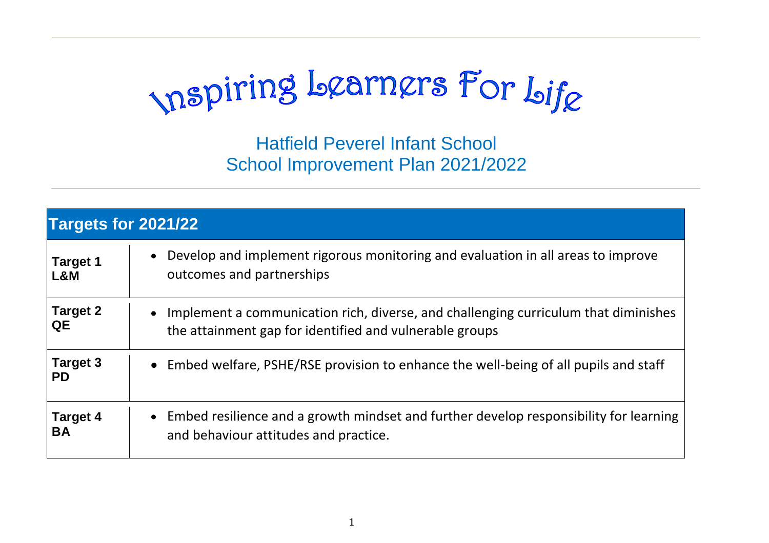mspiring Learners For Life

Hatfield Peverel Infant School School Improvement Plan 2021/2022

| <b>Targets for 2021/22</b>   |                                                                                                                                                             |  |  |  |
|------------------------------|-------------------------------------------------------------------------------------------------------------------------------------------------------------|--|--|--|
| <b>Target 1</b><br>L&M       | Develop and implement rigorous monitoring and evaluation in all areas to improve<br>$\bullet$<br>outcomes and partnerships                                  |  |  |  |
| <b>Target 2</b><br>QE        | Implement a communication rich, diverse, and challenging curriculum that diminishes<br>$\bullet$<br>the attainment gap for identified and vulnerable groups |  |  |  |
| <b>Target 3</b><br><b>PD</b> | • Embed welfare, PSHE/RSE provision to enhance the well-being of all pupils and staff                                                                       |  |  |  |
| <b>Target 4</b><br><b>BA</b> | • Embed resilience and a growth mindset and further develop responsibility for learning<br>and behaviour attitudes and practice.                            |  |  |  |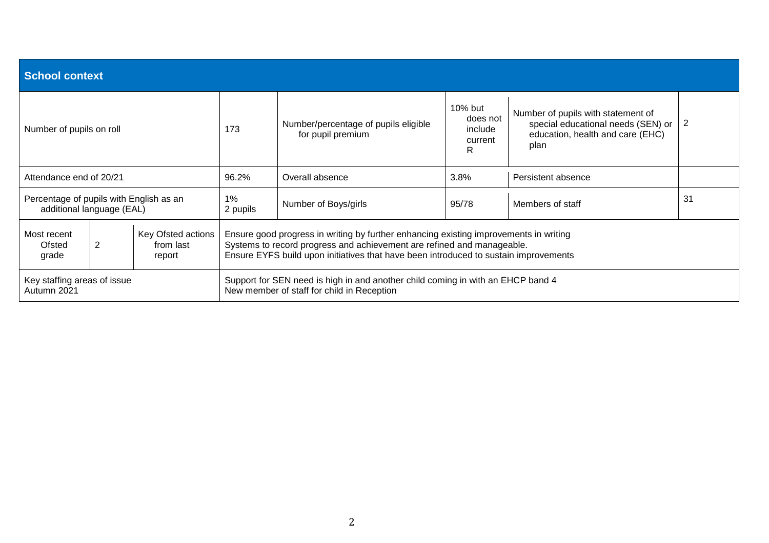| <b>School context</b>                                                |                                                                                                                                                                                                                                                                                                           |                                                                                                                               |                      |                                                           |                                                 |                                                                                                                      |   |
|----------------------------------------------------------------------|-----------------------------------------------------------------------------------------------------------------------------------------------------------------------------------------------------------------------------------------------------------------------------------------------------------|-------------------------------------------------------------------------------------------------------------------------------|----------------------|-----------------------------------------------------------|-------------------------------------------------|----------------------------------------------------------------------------------------------------------------------|---|
| Number of pupils on roll                                             |                                                                                                                                                                                                                                                                                                           |                                                                                                                               | 173                  | Number/percentage of pupils eligible<br>for pupil premium | 10% but<br>does not<br>include<br>current<br>R. | Number of pupils with statement of<br>special educational needs (SEN) or<br>education, health and care (EHC)<br>plan | 2 |
| Attendance end of 20/21                                              |                                                                                                                                                                                                                                                                                                           | 96.2%                                                                                                                         | Overall absence      | 3.8%                                                      | Persistent absence                              |                                                                                                                      |   |
| Percentage of pupils with English as an<br>additional language (EAL) |                                                                                                                                                                                                                                                                                                           | $1\%$<br>2 pupils                                                                                                             | Number of Boys/girls | 95/78                                                     | Members of staff                                | 31                                                                                                                   |   |
| Most recent<br>Ofsted<br>grade                                       | Key Ofsted actions<br>Ensure good progress in writing by further enhancing existing improvements in writing<br>Systems to record progress and achievement are refined and manageable.<br>2<br>from last<br>Ensure EYFS build upon initiatives that have been introduced to sustain improvements<br>report |                                                                                                                               |                      |                                                           |                                                 |                                                                                                                      |   |
| Key staffing areas of issue<br>Autumn 2021                           |                                                                                                                                                                                                                                                                                                           | Support for SEN need is high in and another child coming in with an EHCP band 4<br>New member of staff for child in Reception |                      |                                                           |                                                 |                                                                                                                      |   |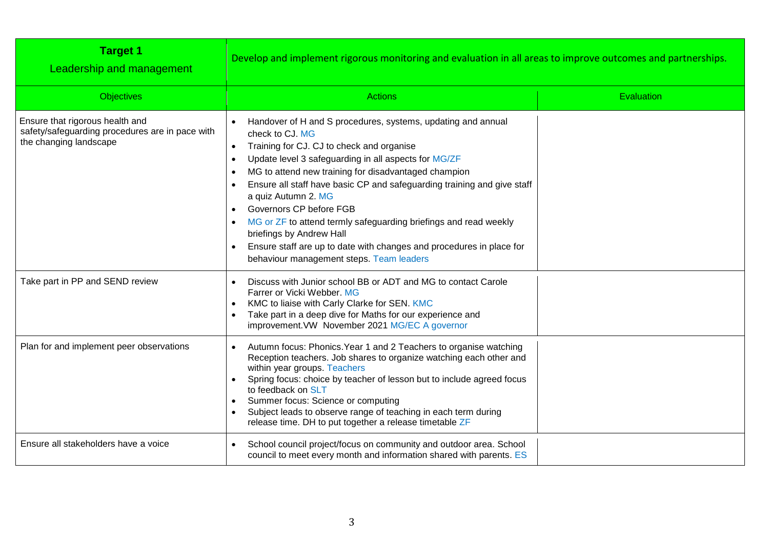| <b>Target 1</b><br>Leadership and management                                                                 | Develop and implement rigorous monitoring and evaluation in all areas to improve outcomes and partnerships.                                                                                                                                                                                                                                                                                                                                                                                                                                                                                   |            |
|--------------------------------------------------------------------------------------------------------------|-----------------------------------------------------------------------------------------------------------------------------------------------------------------------------------------------------------------------------------------------------------------------------------------------------------------------------------------------------------------------------------------------------------------------------------------------------------------------------------------------------------------------------------------------------------------------------------------------|------------|
| <b>Objectives</b>                                                                                            | <b>Actions</b>                                                                                                                                                                                                                                                                                                                                                                                                                                                                                                                                                                                | Evaluation |
| Ensure that rigorous health and<br>safety/safeguarding procedures are in pace with<br>the changing landscape | Handover of H and S procedures, systems, updating and annual<br>check to CJ. MG<br>Training for CJ. CJ to check and organise<br>Update level 3 safeguarding in all aspects for MG/ZF<br>MG to attend new training for disadvantaged champion<br>Ensure all staff have basic CP and safeguarding training and give staff<br>a quiz Autumn 2. MG<br>Governors CP before FGB<br>MG or ZF to attend termly safeguarding briefings and read weekly<br>briefings by Andrew Hall<br>Ensure staff are up to date with changes and procedures in place for<br>behaviour management steps. Team leaders |            |
| Take part in PP and SEND review                                                                              | Discuss with Junior school BB or ADT and MG to contact Carole<br>Farrer or Vicki Webber, MG<br>KMC to liaise with Carly Clarke for SEN. KMC<br>Take part in a deep dive for Maths for our experience and<br>improvement. VW November 2021 MG/EC A governor                                                                                                                                                                                                                                                                                                                                    |            |
| Plan for and implement peer observations                                                                     | Autumn focus: Phonics. Year 1 and 2 Teachers to organise watching<br>Reception teachers. Job shares to organize watching each other and<br>within year groups. Teachers<br>Spring focus: choice by teacher of lesson but to include agreed focus<br>to feedback on SLT<br>Summer focus: Science or computing<br>Subject leads to observe range of teaching in each term during<br>release time. DH to put together a release timetable ZF                                                                                                                                                     |            |
| Ensure all stakeholders have a voice                                                                         | School council project/focus on community and outdoor area. School<br>council to meet every month and information shared with parents. ES                                                                                                                                                                                                                                                                                                                                                                                                                                                     |            |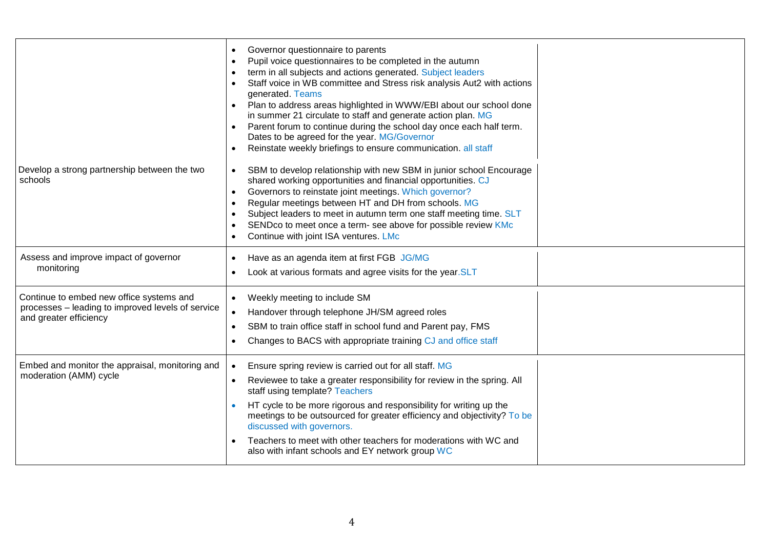|                                                                                                                         | Governor questionnaire to parents<br>Pupil voice questionnaires to be completed in the autumn<br>term in all subjects and actions generated. Subject leaders<br>Staff voice in WB committee and Stress risk analysis Aut2 with actions<br>generated. Teams<br>Plan to address areas highlighted in WWW/EBI about our school done<br>in summer 21 circulate to staff and generate action plan. MG<br>Parent forum to continue during the school day once each half term.<br>Dates to be agreed for the year. MG/Governor<br>Reinstate weekly briefings to ensure communication. all staff |  |
|-------------------------------------------------------------------------------------------------------------------------|------------------------------------------------------------------------------------------------------------------------------------------------------------------------------------------------------------------------------------------------------------------------------------------------------------------------------------------------------------------------------------------------------------------------------------------------------------------------------------------------------------------------------------------------------------------------------------------|--|
| Develop a strong partnership between the two<br>schools                                                                 | SBM to develop relationship with new SBM in junior school Encourage<br>shared working opportunities and financial opportunities. CJ<br>Governors to reinstate joint meetings. Which governor?<br>Regular meetings between HT and DH from schools. MG<br>Subject leaders to meet in autumn term one staff meeting time. SLT<br>SENDco to meet once a term- see above for possible review KMc<br>Continue with joint ISA ventures. LMc                                                                                                                                                     |  |
| Assess and improve impact of governor<br>monitoring                                                                     | Have as an agenda item at first FGB JG/MG<br>$\bullet$<br>Look at various formats and agree visits for the year.SLT                                                                                                                                                                                                                                                                                                                                                                                                                                                                      |  |
| Continue to embed new office systems and<br>processes - leading to improved levels of service<br>and greater efficiency | Weekly meeting to include SM<br>$\bullet$<br>Handover through telephone JH/SM agreed roles<br>SBM to train office staff in school fund and Parent pay, FMS<br>Changes to BACS with appropriate training CJ and office staff                                                                                                                                                                                                                                                                                                                                                              |  |
| Embed and monitor the appraisal, monitoring and<br>moderation (AMM) cycle                                               | Ensure spring review is carried out for all staff. MG<br>Reviewee to take a greater responsibility for review in the spring. All<br>staff using template? Teachers<br>HT cycle to be more rigorous and responsibility for writing up the<br>meetings to be outsourced for greater efficiency and objectivity? To be<br>discussed with governors.<br>Teachers to meet with other teachers for moderations with WC and<br>also with infant schools and EY network group WC                                                                                                                 |  |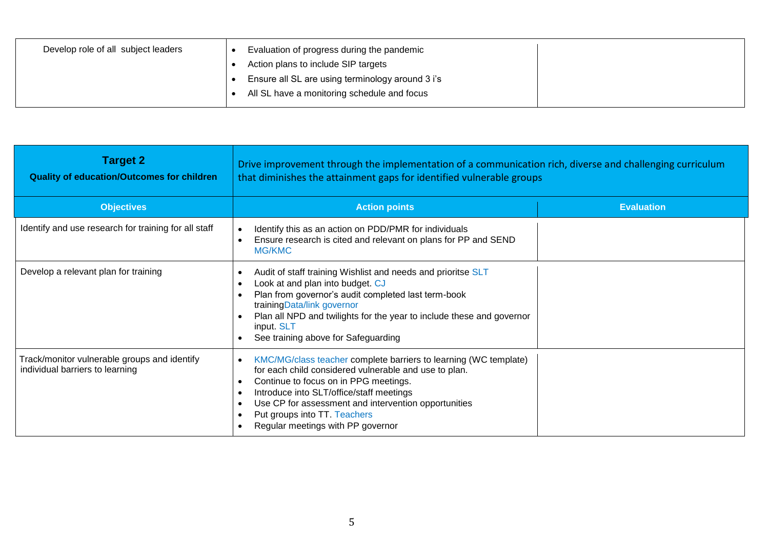| Develop role of all subject leaders | Evaluation of progress during the pandemic<br>Action plans to include SIP targets<br>Ensure all SL are using terminology around 3 i's<br>All SL have a monitoring schedule and focus |  |
|-------------------------------------|--------------------------------------------------------------------------------------------------------------------------------------------------------------------------------------|--|
|-------------------------------------|--------------------------------------------------------------------------------------------------------------------------------------------------------------------------------------|--|

| <b>Target 2</b><br><b>Quality of education/Outcomes for children</b>            | Drive improvement through the implementation of a communication rich, diverse and challenging curriculum<br>that diminishes the attainment gaps for identified vulnerable groups                                                                                                                                                            |                   |  |
|---------------------------------------------------------------------------------|---------------------------------------------------------------------------------------------------------------------------------------------------------------------------------------------------------------------------------------------------------------------------------------------------------------------------------------------|-------------------|--|
| <b>Objectives</b>                                                               | <b>Action points</b>                                                                                                                                                                                                                                                                                                                        | <b>Evaluation</b> |  |
| Identify and use research for training for all staff                            | Identify this as an action on PDD/PMR for individuals<br>Ensure research is cited and relevant on plans for PP and SEND<br><b>MG/KMC</b>                                                                                                                                                                                                    |                   |  |
| Develop a relevant plan for training                                            | Audit of staff training Wishlist and needs and prioritse SLT<br>Look at and plan into budget. CJ<br>Plan from governor's audit completed last term-book<br>trainingData/link governor<br>Plan all NPD and twilights for the year to include these and governor<br>input. SLT<br>See training above for Safeguarding                         |                   |  |
| Track/monitor vulnerable groups and identify<br>individual barriers to learning | KMC/MG/class teacher complete barriers to learning (WC template)<br>for each child considered vulnerable and use to plan.<br>Continue to focus on in PPG meetings.<br>Introduce into SLT/office/staff meetings<br>Use CP for assessment and intervention opportunities<br>Put groups into TT. Teachers<br>Regular meetings with PP governor |                   |  |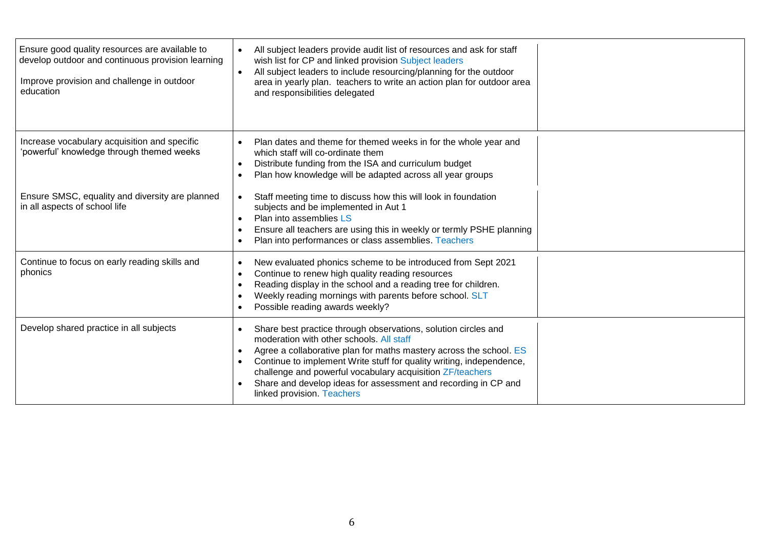| Ensure good quality resources are available to<br>develop outdoor and continuous provision learning<br>Improve provision and challenge in outdoor<br>education | All subject leaders provide audit list of resources and ask for staff<br>wish list for CP and linked provision Subject leaders<br>All subject leaders to include resourcing/planning for the outdoor<br>area in yearly plan. teachers to write an action plan for outdoor area<br>and responsibilities delegated                                                                                                      |  |
|----------------------------------------------------------------------------------------------------------------------------------------------------------------|-----------------------------------------------------------------------------------------------------------------------------------------------------------------------------------------------------------------------------------------------------------------------------------------------------------------------------------------------------------------------------------------------------------------------|--|
| Increase vocabulary acquisition and specific<br>'powerful' knowledge through themed weeks                                                                      | Plan dates and theme for themed weeks in for the whole year and<br>which staff will co-ordinate them<br>Distribute funding from the ISA and curriculum budget<br>Plan how knowledge will be adapted across all year groups                                                                                                                                                                                            |  |
| Ensure SMSC, equality and diversity are planned<br>in all aspects of school life                                                                               | Staff meeting time to discuss how this will look in foundation<br>subjects and be implemented in Aut 1<br>Plan into assemblies LS<br>Ensure all teachers are using this in weekly or termly PSHE planning<br>Plan into performances or class assemblies. Teachers                                                                                                                                                     |  |
| Continue to focus on early reading skills and<br>phonics                                                                                                       | New evaluated phonics scheme to be introduced from Sept 2021<br>Continue to renew high quality reading resources<br>Reading display in the school and a reading tree for children.<br>Weekly reading mornings with parents before school. SLT<br>Possible reading awards weekly?                                                                                                                                      |  |
| Develop shared practice in all subjects                                                                                                                        | Share best practice through observations, solution circles and<br>moderation with other schools. All staff<br>Agree a collaborative plan for maths mastery across the school. ES<br>Continue to implement Write stuff for quality writing, independence,<br>challenge and powerful vocabulary acquisition ZF/teachers<br>Share and develop ideas for assessment and recording in CP and<br>linked provision. Teachers |  |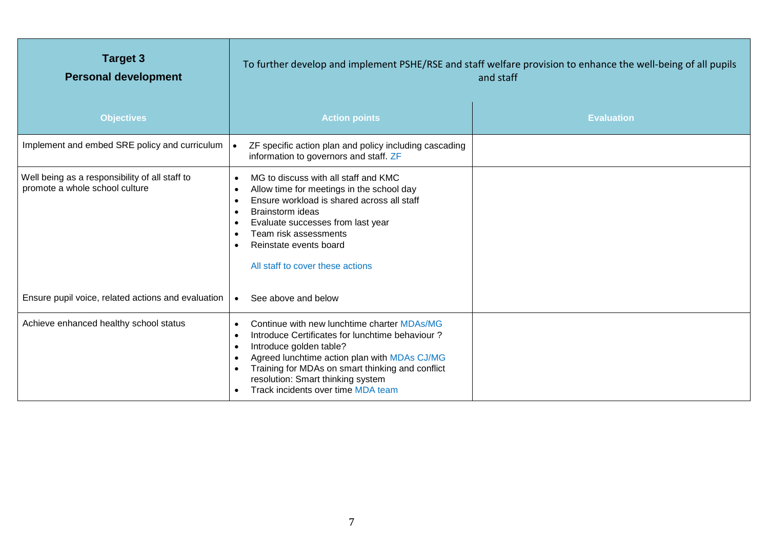| <b>Target 3</b><br><b>Personal development</b>                                   | To further develop and implement PSHE/RSE and staff welfare provision to enhance the well-being of all pupils<br>and staff                                                                                                                                                                                            |                   |  |
|----------------------------------------------------------------------------------|-----------------------------------------------------------------------------------------------------------------------------------------------------------------------------------------------------------------------------------------------------------------------------------------------------------------------|-------------------|--|
| <b>Objectives</b>                                                                | <b>Action points</b>                                                                                                                                                                                                                                                                                                  | <b>Evaluation</b> |  |
| Implement and embed SRE policy and curriculum                                    | ZF specific action plan and policy including cascading<br>information to governors and staff. ZF                                                                                                                                                                                                                      |                   |  |
| Well being as a responsibility of all staff to<br>promote a whole school culture | MG to discuss with all staff and KMC<br>$\bullet$<br>Allow time for meetings in the school day<br>Ensure workload is shared across all staff<br><b>Brainstorm</b> ideas<br>$\bullet$<br>Evaluate successes from last year<br>Team risk assessments<br>Reinstate events board<br>All staff to cover these actions      |                   |  |
| Ensure pupil voice, related actions and evaluation                               | See above and below<br>$\bullet$                                                                                                                                                                                                                                                                                      |                   |  |
| Achieve enhanced healthy school status                                           | Continue with new lunchtime charter MDAs/MG<br>$\bullet$<br>Introduce Certificates for lunchtime behaviour?<br>Introduce golden table?<br>Agreed lunchtime action plan with MDAs CJ/MG<br>Training for MDAs on smart thinking and conflict<br>resolution: Smart thinking system<br>Track incidents over time MDA team |                   |  |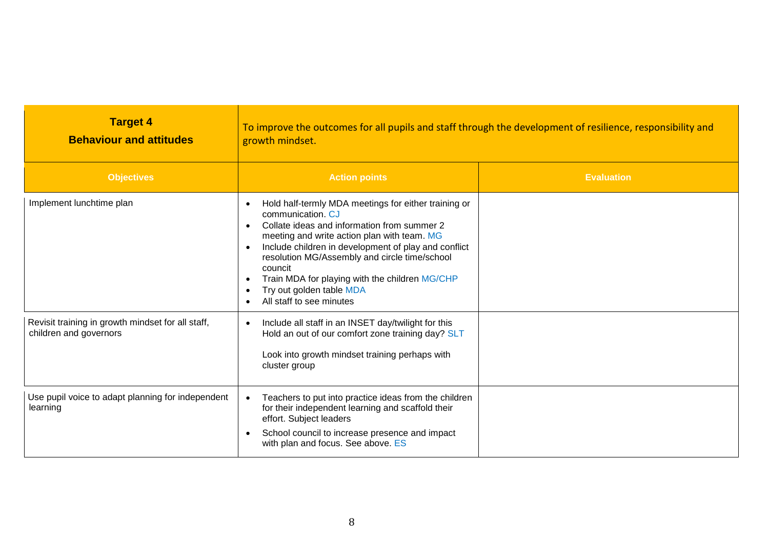| <b>Target 4</b><br><b>Behaviour and attitudes</b>                           | To improve the outcomes for all pupils and staff through the development of resilience, responsibility and<br>growth mindset.                                                                                                                                                                                                                                                                                                                |                   |  |
|-----------------------------------------------------------------------------|----------------------------------------------------------------------------------------------------------------------------------------------------------------------------------------------------------------------------------------------------------------------------------------------------------------------------------------------------------------------------------------------------------------------------------------------|-------------------|--|
| <b>Objectives</b>                                                           | <b>Action points</b>                                                                                                                                                                                                                                                                                                                                                                                                                         | <b>Evaluation</b> |  |
| Implement lunchtime plan                                                    | Hold half-termly MDA meetings for either training or<br>communication. CJ<br>Collate ideas and information from summer 2<br>$\bullet$<br>meeting and write action plan with team. MG<br>Include children in development of play and conflict<br>$\bullet$<br>resolution MG/Assembly and circle time/school<br>councit<br>Train MDA for playing with the children MG/CHP<br>$\bullet$<br>Try out golden table MDA<br>All staff to see minutes |                   |  |
| Revisit training in growth mindset for all staff,<br>children and governors | Include all staff in an INSET day/twilight for this<br>$\bullet$<br>Hold an out of our comfort zone training day? SLT<br>Look into growth mindset training perhaps with<br>cluster group                                                                                                                                                                                                                                                     |                   |  |
| Use pupil voice to adapt planning for independent<br>learning               | Teachers to put into practice ideas from the children<br>$\bullet$<br>for their independent learning and scaffold their<br>effort. Subject leaders<br>School council to increase presence and impact<br>$\bullet$<br>with plan and focus. See above. ES                                                                                                                                                                                      |                   |  |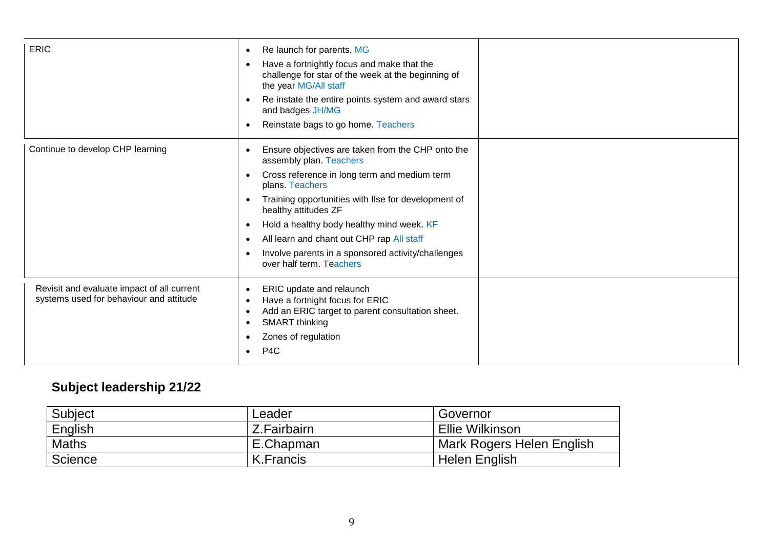| <b>ERIC</b>                                                                           | Re launch for parents. MG<br>$\bullet$<br>Have a fortnightly focus and make that the<br>$\bullet$<br>challenge for star of the week at the beginning of<br>the year MG/All staff<br>Re instate the entire points system and award stars<br>$\bullet$<br>and badges JH/MG<br>Reinstate bags to go home. Teachers<br>$\bullet$                                                                                                                                   |  |
|---------------------------------------------------------------------------------------|----------------------------------------------------------------------------------------------------------------------------------------------------------------------------------------------------------------------------------------------------------------------------------------------------------------------------------------------------------------------------------------------------------------------------------------------------------------|--|
| Continue to develop CHP learning                                                      | Ensure objectives are taken from the CHP onto the<br>assembly plan. Teachers<br>Cross reference in long term and medium term<br>$\bullet$<br>plans. Teachers<br>Training opportunities with Ilse for development of<br>$\bullet$<br>healthy attitudes ZF<br>Hold a healthy body healthy mind week. KF<br>$\bullet$<br>All learn and chant out CHP rap All staff<br>$\bullet$<br>Involve parents in a sponsored activity/challenges<br>over half term. Teachers |  |
| Revisit and evaluate impact of all current<br>systems used for behaviour and attitude | ERIC update and relaunch<br>$\bullet$<br>Have a fortnight focus for ERIC<br>$\bullet$<br>Add an ERIC target to parent consultation sheet.<br>$\bullet$<br>SMART thinking<br>$\bullet$<br>Zones of regulation<br>$\bullet$<br>P <sub>4</sub> C<br>$\bullet$                                                                                                                                                                                                     |  |

## **Subject leadership 21/22**

| Subject      | Leader      | Governor                  |
|--------------|-------------|---------------------------|
| English      | Z.Fairbairn | Ellie Wilkinson           |
| <b>Maths</b> | E.Chapman   | Mark Rogers Helen English |
| Science      | K.Francis   | Helen English             |